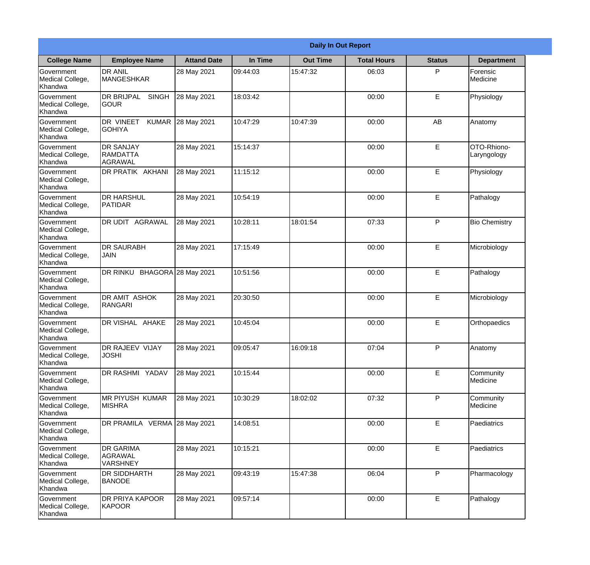|                                                  | <b>Daily In Out Report</b>                        |                    |          |                 |                    |               |                            |  |
|--------------------------------------------------|---------------------------------------------------|--------------------|----------|-----------------|--------------------|---------------|----------------------------|--|
| <b>College Name</b>                              | <b>Employee Name</b>                              | <b>Attand Date</b> | In Time  | <b>Out Time</b> | <b>Total Hours</b> | <b>Status</b> | <b>Department</b>          |  |
| Government<br>Medical College,<br>Khandwa        | <b>DR ANIL</b><br><b>MANGESHKAR</b>               | 28 May 2021        | 09:44:03 | 15:47:32        | 06:03              | P             | Forensic<br>Medicine       |  |
| Government<br>Medical College,<br>Khandwa        | <b>DR BRIJPAL</b><br><b>SINGH</b><br> GOUR        | 28 May 2021        | 18:03:42 |                 | 00:00              | E             | Physiology                 |  |
| <b>Government</b><br>Medical College,<br>Khandwa | <b>DR VINEET</b><br><b>KUMAR</b><br><b>GOHIYA</b> | 28 May 2021        | 10:47:29 | 10:47:39        | 00:00              | AB            | Anatomy                    |  |
| <b>Government</b><br>Medical College,<br>Khandwa | <b>DR SANJAY</b><br>RAMDATTA<br><b>AGRAWAL</b>    | 28 May 2021        | 15:14:37 |                 | 00:00              | E             | OTO-Rhiono-<br>Laryngology |  |
| Government<br>Medical College,<br>Khandwa        | DR PRATIK AKHANI                                  | 28 May 2021        | 11:15:12 |                 | 00:00              | E             | Physiology                 |  |
| Government<br>Medical College,<br>Khandwa        | <b>DR HARSHUL</b><br>PATIDAR                      | 28 May 2021        | 10:54:19 |                 | 00:00              | E             | Pathalogy                  |  |
| <b>Government</b><br>Medical College,<br>Khandwa | <b>DR UDIT AGRAWAL</b>                            | 28 May 2021        | 10:28:11 | 18:01:54        | 07:33              | P             | <b>Bio Chemistry</b>       |  |
| <b>Government</b><br>Medical College,<br>Khandwa | <b>DR SAURABH</b><br><b>JAIN</b>                  | 28 May 2021        | 17:15:49 |                 | 00:00              | E             | Microbiology               |  |
| Government<br>Medical College,<br>Khandwa        | DR RINKU BHAGORA 28 May 2021                      |                    | 10:51:56 |                 | 00:00              | E             | Pathalogy                  |  |
| Government<br>Medical College,<br>Khandwa        | DR AMIT ASHOK<br>RANGARI                          | 28 May 2021        | 20:30:50 |                 | 00:00              | $\mathsf E$   | Microbiology               |  |
| Government<br>Medical College,<br>Khandwa        | DR VISHAL AHAKE                                   | 28 May 2021        | 10:45:04 |                 | 00:00              | E             | Orthopaedics               |  |
| Government<br>Medical College,<br>Khandwa        | DR RAJEEV VIJAY<br><b>JOSHI</b>                   | 28 May 2021        | 09:05:47 | 16:09:18        | 07:04              | P             | Anatomy                    |  |
| Government<br>Medical College,<br>Khandwa        | DR RASHMI YADAV                                   | 28 May 2021        | 10:15:44 |                 | 00:00              | E             | Community<br>Medicine      |  |
| Government<br>Medical College,<br>Khandwa        | MR PIYUSH KUMAR<br><b>MISHRA</b>                  | 28 May 2021        | 10:30:29 | 18:02:02        | 07:32              | P             | Community<br>Medicine      |  |
| Government<br>Medical College,<br>Khandwa        | DR PRAMILA VERMA 28 May 2021                      |                    | 14:08:51 |                 | 00:00              | E             | Paediatrics                |  |
| Government<br>Medical College,<br>Khandwa        | <b>DR GARIMA</b><br>AGRAWAL<br><b>VARSHNEY</b>    | 28 May 2021        | 10:15:21 |                 | 00:00              | E             | Paediatrics                |  |
| Government<br>Medical College,<br>Khandwa        | DR SIDDHARTH<br><b>BANODE</b>                     | 28 May 2021        | 09:43:19 | 15:47:38        | 06:04              | P             | Pharmacology               |  |
| Government<br>Medical College,<br>Khandwa        | <b>DR PRIYA KAPOOR</b><br>KAPOOR                  | 28 May 2021        | 09:57:14 |                 | 00:00              | $\mathsf E$   | Pathalogy                  |  |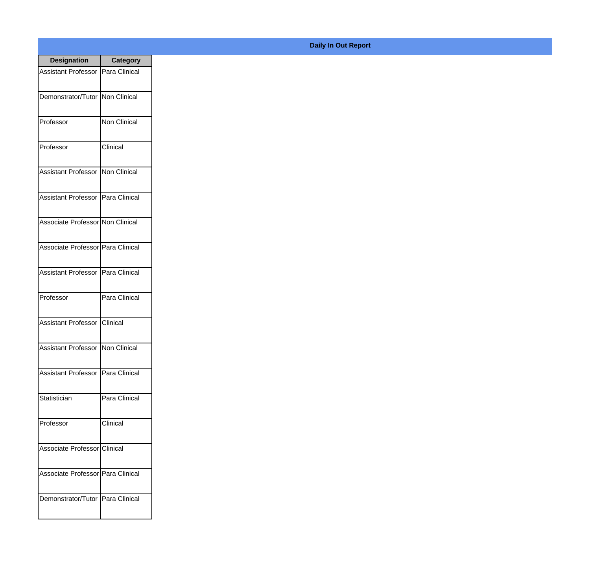| <b>Designation</b>                        | <b>Category</b> |
|-------------------------------------------|-----------------|
| Assistant Professor   Para Clinical       |                 |
| Demonstrator/Tutor   Non Clinical         |                 |
| Professor                                 | Non Clinical    |
| Professor                                 | Clinical        |
| <b>Assistant Professor</b>                | Non Clinical    |
| Assistant Professor   Para Clinical       |                 |
| Associate Professor Non Clinical          |                 |
| Associate Professor Para Clinical         |                 |
| Assistant Professor                       | Para Clinical   |
| Professor                                 | Para Clinical   |
| <b>Assistant Professor</b>                | Clinical        |
| <b>Assistant Professor   Non Clinical</b> |                 |
| Assistant Professor   Para Clinical       |                 |
| Statistician                              | Para Clinical   |
| Professor                                 | Clinical        |
| Associate Professor Clinical              |                 |
| Associate Professor   Para Clinical       |                 |
| Demonstrator/Tutor   Para Clinical        |                 |

## **Daily In Out Report**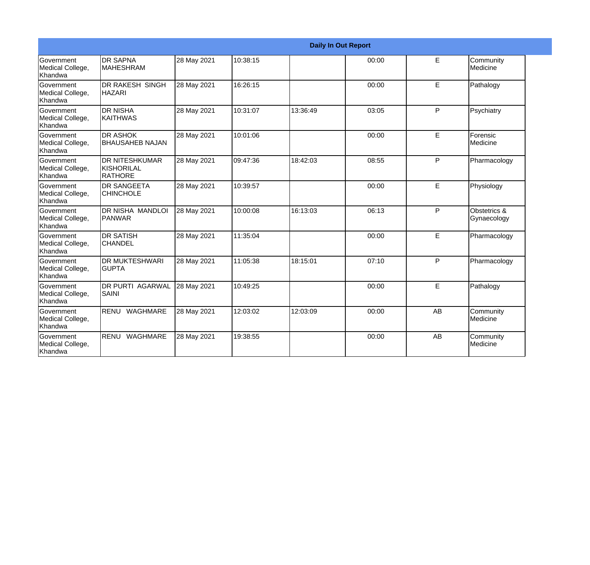| <b>Daily In Out Report</b>                              |                                                 |             |          |          |       |    |                             |
|---------------------------------------------------------|-------------------------------------------------|-------------|----------|----------|-------|----|-----------------------------|
| Government<br>Medical College,<br>Khandwa               | <b>DR SAPNA</b><br>IMAHESHRAM                   | 28 May 2021 | 10:38:15 |          | 00:00 | E  | Community<br>Medicine       |
| <b>Government</b><br>Medical College,<br>Khandwa        | <b>DR RAKESH SINGH</b><br><b>HAZARI</b>         | 28 May 2021 | 16:26:15 |          | 00:00 | E  | Pathalogy                   |
| <b>Government</b><br>Medical College,<br>Khandwa        | IDR NISHA<br><b>KAITHWAS</b>                    | 28 May 2021 | 10:31:07 | 13:36:49 | 03:05 | P  | Psychiatry                  |
| <b>Government</b><br>Medical College,<br>Khandwa        | <b>I</b> DR ASHOK<br><b>BHAUSAHEB NAJAN</b>     | 28 May 2021 | 10:01:06 |          | 00:00 | E  | Forensic<br>Medicine        |
| <b>Government</b><br>Medical College,<br><b>Khandwa</b> | <b>DR NITESHKUMAR</b><br>KISHORILAL<br>IRATHORE | 28 May 2021 | 09:47:36 | 18:42:03 | 08:55 | P  | Pharmacology                |
| Government<br>Medical College,<br>Khandwa               | <b>DR SANGEETA</b><br><b>CHINCHOLE</b>          | 28 May 2021 | 10:39:57 |          | 00:00 | E  | Physiology                  |
| <b>Government</b><br>Medical College,<br>Khandwa        | DR NISHA MANDLOI<br><b>PANWAR</b>               | 28 May 2021 | 10:00:08 | 16:13:03 | 06:13 | P  | Obstetrics &<br>Gynaecology |
| <b>Government</b><br>Medical College,<br>Khandwa        | <b>DR SATISH</b><br><b>CHANDEL</b>              | 28 May 2021 | 11:35:04 |          | 00:00 | E  | Pharmacology                |
| Government<br>Medical College,<br>Khandwa               | <b>DR MUKTESHWARI</b><br><b>GUPTA</b>           | 28 May 2021 | 11:05:38 | 18:15:01 | 07:10 | P  | Pharmacology                |
| <b>Government</b><br>Medical College,<br>Khandwa        | <b>DR PURTI AGARWAL</b><br>SAINI                | 28 May 2021 | 10:49:25 |          | 00:00 | E  | Pathalogy                   |
| Government<br>Medical College,<br>Khandwa               | RENU WAGHMARE                                   | 28 May 2021 | 12:03:02 | 12:03:09 | 00:00 | AB | Community<br>Medicine       |
| Government<br>Medical College,<br>Khandwa               | RENU WAGHMARE                                   | 28 May 2021 | 19:38:55 |          | 00:00 | AB | Community<br>Medicine       |